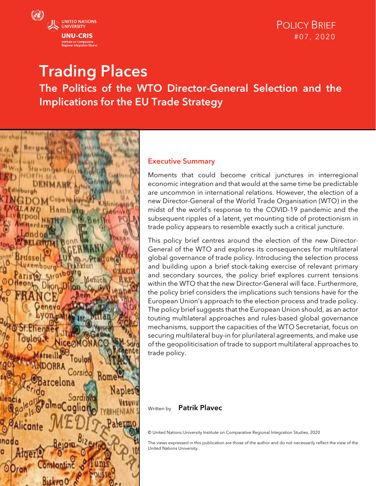

# Trading Places The Politics of the WTO Director-General Selection and the Implications for the EU Trade Strategy



#### Executive Summary

Moments that could become critical junctures in interregional economic integration and that would at the same time be predictable are uncommon in international relations. However, the election of a new Director-General of the World Trade Organisation (WTO) in the midst of the world's response to the COVID-19 pandemic and the subsequent ripples of a latent, yet mounting tide of protectionism in trade policy appears to resemble exactly such a critical juncture.

This policy brief centres around the election of the new Director-General of the WTO and explores its consequences for multilateral global governance of trade policy. Introducing the selection process and building upon a brief stock-taking exercise of relevant primary and secondary sources, the policy brief explores current tensions within the WTO that the new Director-General will face. Furthermore, the policy brief considers the implications such tensions have for the European Union's approach to the election process and trade policy. The policy brief suggests that the European Union should, as an actor touting multilateral approaches and rules-based global governance mechanisms, support the capacities of the WTO Secretariat, focus on securing multilateral buy-in for plurilateral agreements, and make use of the geopoliticisation of trade to support multilateral approaches to trade policy.

#### Written by Patrik Plavec

© United Nations University Institute on Comparative Regional Integration Studies, 2020

The views expressed in this publication are those of the author and do not necessarily reflect the view of the United Nations University.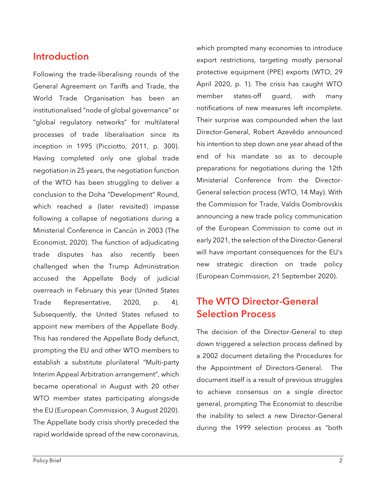### Introduction

Following the trade-liberalising rounds of the General Agreement on Tariffs and Trade, the World Trade Organisation has been an institutionalised "node of global governance" or "global regulatory networks" for multilateral processes of trade liberalisation since its inception in 1995 (Picciotto, 2011, p. 300). Having completed only one global trade negotiation in 25 years, the negotiation function of the WTO has been struggling to deliver a conclusion to the Doha "Development" Round, which reached a (later revisited) impasse following a collapse of negotiations during a Ministerial Conference in Cancún in 2003 (The Economist, 2020). The function of adjudicating trade disputes has also recently been challenged when the Trump Administration accused the Appellate Body of judicial overreach in February this year (United States Trade Representative, 2020, p. 4). Subsequently, the United States refused to appoint new members of the Appellate Body. This has rendered the Appellate Body defunct, prompting the EU and other WTO members to establish a substitute plurilateral "Multi-party Interim Appeal Arbitration arrangement", which became operational in August with 20 other WTO member states participating alongside the EU (European Commission, 3 August 2020). The Appellate body crisis shortly preceded the rapid worldwide spread of the new coronavirus,

which prompted many economies to introduce export restrictions, targeting mostly personal protective equipment (PPE) exports (WTO, 29 April 2020, p. 1). The crisis has caught WTO member states-off guard, with many notifications of new measures left incomplete. Their surprise was compounded when the last Director-General, Robert Azevêdo announced his intention to step down one year ahead of the end of his mandate so as to decouple preparations for negotiations during the 12th Ministerial Conference from the Director-General selection process (WTO, 14 May). With the Commission for Trade, Valdis Dombrovskis announcing a new trade policy communication of the European Commission to come out in early 2021, the selection of the Director-General will have important consequences for the EU's new strategic direction on trade policy (European Commission, 21 September 2020).

# The WTO Director-General Selection Process

The decision of the Director-General to step down triggered a selection process defined by a 2002 document detailing the Procedures for the Appointment of Directors-General. The document itself is a result of previous struggles to achieve consensus on a single director general, prompting The Economist to describe the inability to select a new Director-General during the 1999 selection process as "both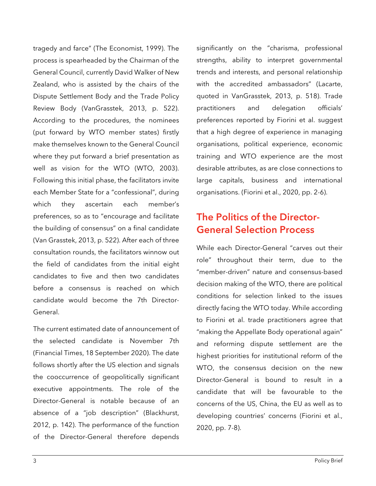tragedy and farce" (The Economist, 1999). The process is spearheaded by the Chairman of the General Council, currently David Walker of New Zealand, who is assisted by the chairs of the Dispute Settlement Body and the Trade Policy Review Body (VanGrasstek, 2013, p. 522). According to the procedures, the nominees (put forward by WTO member states) firstly make themselves known to the General Council where they put forward a brief presentation as well as vision for the WTO (WTO, 2003). Following this initial phase, the facilitators invite each Member State for a "confessional", during which they ascertain each member's preferences, so as to "encourage and facilitate the building of consensus" on a final candidate (Van Grasstek, 2013, p. 522). After each of three consultation rounds, the facilitators winnow out the field of candidates from the initial eight candidates to five and then two candidates before a consensus is reached on which candidate would become the 7th Director-General.

The current estimated date of announcement of the selected candidate is November 7th (Financial Times, 18 September 2020). The date follows shortly after the US election and signals the cooccurrence of geopolitically significant executive appointments. The role of the Director-General is notable because of an absence of a "job description" (Blackhurst, 2012, p. 142). The performance of the function of the Director-General therefore depends significantly on the "charisma, professional strengths, ability to interpret governmental trends and interests, and personal relationship with the accredited ambassadors" (Lacarte, quoted in VanGrasstek, 2013, p. 518). Trade practitioners and delegation officials' preferences reported by Fiorini et al. suggest that a high degree of experience in managing organisations, political experience, economic training and WTO experience are the most desirable attributes, as are close connections to large capitals, business and international organisations. (Fiorini et al., 2020, pp. 2-6).

# The Politics of the Director-General Selection Process

While each Director-General "carves out their role" throughout their term, due to the "member-driven" nature and consensus-based decision making of the WTO, there are political conditions for selection linked to the issues directly facing the WTO today. While according to Fiorini et al. trade practitioners agree that "making the Appellate Body operational again" and reforming dispute settlement are the highest priorities for institutional reform of the WTO, the consensus decision on the new Director-General is bound to result in a candidate that will be favourable to the concerns of the US, China, the EU as well as to developing countries' concerns (Fiorini et al., 2020, pp. 7-8).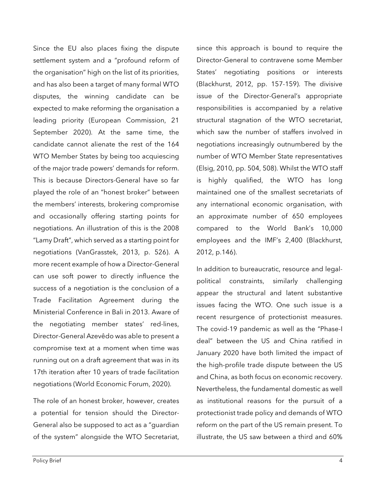Since the EU also places fixing the dispute settlement system and a "profound reform of the organisation" high on the list of its priorities, and has also been a target of many formal WTO disputes, the winning candidate can be expected to make reforming the organisation a leading priority (European Commission, 21 September 2020). At the same time, the candidate cannot alienate the rest of the 164 WTO Member States by being too acquiescing of the major trade powers' demands for reform. This is because Directors-General have so far played the role of an "honest broker" between the members' interests, brokering compromise and occasionally offering starting points for negotiations. An illustration of this is the 2008 "Lamy Draft", which served as a starting point for negotiations (VanGrasstek, 2013, p. 526). A more recent example of how a Director-General can use soft power to directly influence the success of a negotiation is the conclusion of a Trade Facilitation Agreement during the Ministerial Conference in Bali in 2013. Aware of the negotiating member states' red-lines, Director-General Azevêdo was able to present a compromise text at a moment when time was running out on a draft agreement that was in its 17th iteration after 10 years of trade facilitation negotiations (World Economic Forum, 2020).

The role of an honest broker, however, creates a potential for tension should the Director-General also be supposed to act as a "guardian of the system" alongside the WTO Secretariat,

Policy Brief 4

since this approach is bound to require the Director-General to contravene some Member States' negotiating positions or interests (Blackhurst, 2012, pp. 157-159). The divisive issue of the Director-General's appropriate responsibilities is accompanied by a relative structural stagnation of the WTO secretariat, which saw the number of staffers involved in negotiations increasingly outnumbered by the number of WTO Member State representatives (Elsig, 2010, pp. 504, 508). Whilst the WTO staff is highly qualified, the WTO has long maintained one of the smallest secretariats of any international economic organisation, with an approximate number of 650 employees compared to the World Bank's 10,000 employees and the IMF's 2,400 (Blackhurst, 2012, p.146).

In addition to bureaucratic, resource and legalpolitical constraints, similarly challenging appear the structural and latent substantive issues facing the WTO. One such issue is a recent resurgence of protectionist measures. The covid-19 pandemic as well as the "Phase-I deal" between the US and China ratified in January 2020 have both limited the impact of the high-profile trade dispute between the US and China, as both focus on economic recovery. Nevertheless, the fundamental domestic as well as institutional reasons for the pursuit of a protectionist trade policy and demands of WTO reform on the part of the US remain present. To illustrate, the US saw between a third and 60%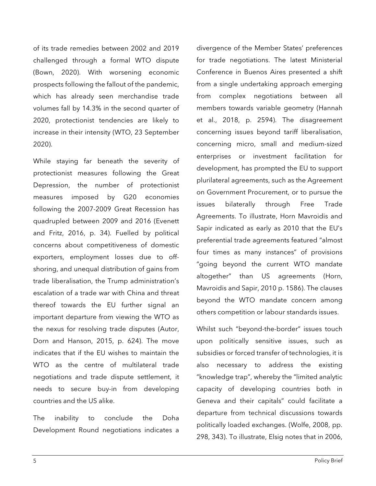of its trade remedies between 2002 and 2019 challenged through a formal WTO dispute (Bown, 2020). With worsening economic prospects following the fallout of the pandemic, which has already seen merchandise trade volumes fall by 14.3% in the second quarter of 2020, protectionist tendencies are likely to increase in their intensity (WTO, 23 September 2020).

While staying far beneath the severity of protectionist measures following the Great Depression, the number of protectionist measures imposed by G20 economies following the 2007-2009 Great Recession has quadrupled between 2009 and 2016 (Evenett and Fritz, 2016, p. 34). Fuelled by political concerns about competitiveness of domestic exporters, employment losses due to offshoring, and unequal distribution of gains from trade liberalisation, the Trump administration's escalation of a trade war with China and threat thereof towards the EU further signal an important departure from viewing the WTO as the nexus for resolving trade disputes (Autor, Dorn and Hanson, 2015, p. 624). The move indicates that if the EU wishes to maintain the WTO as the centre of multilateral trade negotiations and trade dispute settlement, it needs to secure buy-in from developing countries and the US alike.

The inability to conclude the Doha Development Round negotiations indicates a divergence of the Member States' preferences for trade negotiations. The latest Ministerial Conference in Buenos Aires presented a shift from a single undertaking approach emerging from complex negotiations between all members towards variable geometry (Hannah et al., 2018, p. 2594). The disagreement concerning issues beyond tariff liberalisation, concerning micro, small and medium-sized enterprises or investment facilitation for development, has prompted the EU to support plurilateral agreements, such as the Agreement on Government Procurement, or to pursue the issues bilaterally through Free Trade Agreements. To illustrate, Horn Mavroidis and Sapir indicated as early as 2010 that the EU's preferential trade agreements featured "almost four times as many instances" of provisions "going beyond the current WTO mandate altogether" than US agreements (Horn, Mavroidis and Sapir, 2010 p. 1586). The clauses beyond the WTO mandate concern among others competition or labour standards issues.

Whilst such "beyond-the-border" issues touch upon politically sensitive issues, such as subsidies or forced transfer of technologies, it is also necessary to address the existing "knowledge trap", whereby the "limited analytic capacity of developing countries both in Geneva and their capitals" could facilitate a departure from technical discussions towards politically loaded exchanges. (Wolfe, 2008, pp. 298, 343). To illustrate, Elsig notes that in 2006,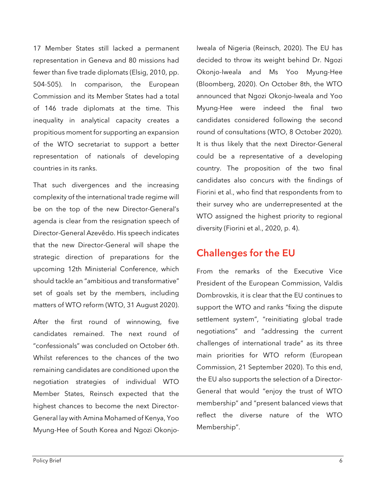17 Member States still lacked a permanent representation in Geneva and 80 missions had fewer than five trade diplomats (Elsig, 2010, pp. 504-505). In comparison, the European Commission and its Member States had a total of 146 trade diplomats at the time. This inequality in analytical capacity creates a propitious moment for supporting an expansion of the WTO secretariat to support a better representation of nationals of developing countries in its ranks.

That such divergences and the increasing complexity of the international trade regime will be on the top of the new Director-General's agenda is clear from the resignation speech of Director-General Azevêdo. His speech indicates that the new Director-General will shape the strategic direction of preparations for the upcoming 12th Ministerial Conference, which should tackle an "ambitious and transformative" set of goals set by the members, including matters of WTO reform (WTO, 31 August 2020).

After the first round of winnowing, five candidates remained. The next round of "confessionals" was concluded on October 6th. Whilst references to the chances of the two remaining candidates are conditioned upon the negotiation strategies of individual WTO Member States, Reinsch expected that the highest chances to become the next Director-General lay with Amina Mohamed of Kenya, Yoo Myung-Hee of South Korea and Ngozi OkonjoIweala of Nigeria (Reinsch, 2020). The EU has decided to throw its weight behind Dr. Ngozi Okonjo-Iweala and Ms Yoo Myung-Hee (Bloomberg, 2020). On October 8th, the WTO announced that Ngozi Okonjo-Iweala and Yoo Myung-Hee were indeed the final two candidates considered following the second round of consultations (WTO, 8 October 2020). It is thus likely that the next Director-General could be a representative of a developing country. The proposition of the two final candidates also concurs with the findings of Fiorini et al., who find that respondents from to their survey who are underrepresented at the WTO assigned the highest priority to regional diversity (Fiorini et al., 2020, p. 4).

# Challenges for the EU

From the remarks of the Executive Vice President of the European Commission, Valdis Dombrovskis, it is clear that the EU continues to support the WTO and ranks "fixing the dispute settlement system", "reinitiating global trade negotiations" and "addressing the current challenges of international trade" as its three main priorities for WTO reform (European Commission, 21 September 2020). To this end, the EU also supports the selection of a Director-General that would "enjoy the trust of WTO membership" and "present balanced views that reflect the diverse nature of the WTO Membership".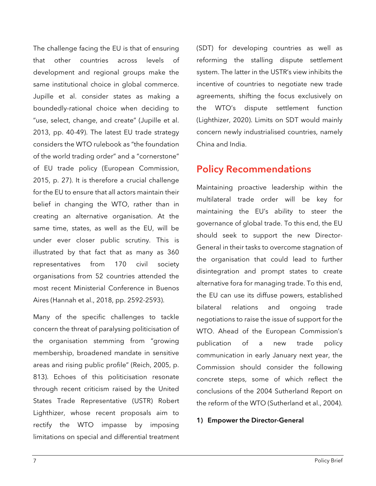The challenge facing the EU is that of ensuring that other countries across levels of development and regional groups make the same institutional choice in global commerce. Jupille et al. consider states as making a boundedly-rational choice when deciding to "use, select, change, and create" (Jupille et al. 2013, pp. 40-49). The latest EU trade strategy considers the WTO rulebook as "the foundation of the world trading order" and a "cornerstone" of EU trade policy (European Commission, 2015, p. 27). It is therefore a crucial challenge for the EU to ensure that all actors maintain their belief in changing the WTO, rather than in creating an alternative organisation. At the same time, states, as well as the EU, will be under ever closer public scrutiny. This is illustrated by that fact that as many as 360 representatives from 170 civil society organisations from 52 countries attended the most recent Ministerial Conference in Buenos Aires (Hannah et al., 2018, pp. 2592-2593).

Many of the specific challenges to tackle concern the threat of paralysing politicisation of the organisation stemming from "growing membership, broadened mandate in sensitive areas and rising public profile" (Reich, 2005, p. 813). Echoes of this politicisation resonate through recent criticism raised by the United States Trade Representative (USTR) Robert Lighthizer, whose recent proposals aim to rectify the WTO impasse by imposing limitations on special and differential treatment (SDT) for developing countries as well as reforming the stalling dispute settlement system. The latter in the USTR's view inhibits the incentive of countries to negotiate new trade agreements, shifting the focus exclusively on the WTO's dispute settlement function (Lighthizer, 2020). Limits on SDT would mainly concern newly industrialised countries, namely China and India.

# Policy Recommendations

Maintaining proactive leadership within the multilateral trade order will be key for maintaining the EU's ability to steer the governance of global trade. To this end, the EU should seek to support the new Director-General in their tasks to overcome stagnation of the organisation that could lead to further disintegration and prompt states to create alternative fora for managing trade. To this end, the EU can use its diffuse powers, established bilateral relations and ongoing trade negotiations to raise the issue of support for the WTO. Ahead of the European Commission's publication of a new trade policy communication in early January next year, the Commission should consider the following concrete steps, some of which reflect the conclusions of the 2004 Sutherland Report on the reform of the WTO (Sutherland et al., 2004).

#### 1) Empower the Director-General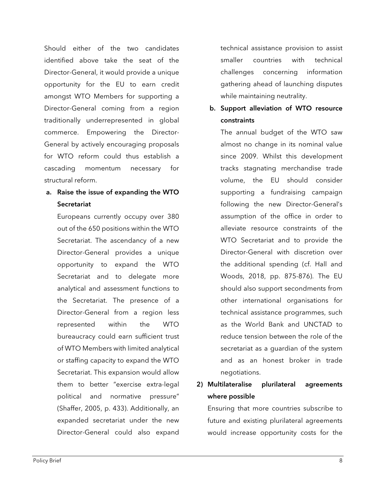Should either of the two candidates identified above take the seat of the Director-General, it would provide a unique opportunity for the EU to earn credit amongst WTO Members for supporting a Director-General coming from a region traditionally underrepresented in global commerce. Empowering the Director-General by actively encouraging proposals for WTO reform could thus establish a cascading momentum necessary for structural reform.

### a. Raise the issue of expanding the WTO **Secretariat**

Europeans currently occupy over 380 out of the 650 positions within the WTO Secretariat. The ascendancy of a new Director-General provides a unique opportunity to expand the WTO Secretariat and to delegate more analytical and assessment functions to the Secretariat. The presence of a Director-General from a region less represented within the WTO bureaucracy could earn sufficient trust of WTO Members with limited analytical or staffing capacity to expand the WTO Secretariat. This expansion would allow them to better "exercise extra-legal political and normative pressure" (Shaffer, 2005, p. 433). Additionally, an expanded secretariat under the new Director-General could also expand

technical assistance provision to assist smaller countries with technical challenges concerning information gathering ahead of launching disputes while maintaining neutrality.

### b. Support alleviation of WTO resource constraints

The annual budget of the WTO saw almost no change in its nominal value since 2009. Whilst this development tracks stagnating merchandise trade volume, the EU should consider supporting a fundraising campaign following the new Director-General's assumption of the office in order to alleviate resource constraints of the WTO Secretariat and to provide the Director-General with discretion over the additional spending (cf. Hall and Woods, 2018, pp. 875-876). The EU should also support secondments from other international organisations for technical assistance programmes, such as the World Bank and UNCTAD to reduce tension between the role of the secretariat as a guardian of the system and as an honest broker in trade negotiations.

### 2) Multilateralise plurilateral agreements where possible

Ensuring that more countries subscribe to future and existing plurilateral agreements would increase opportunity costs for the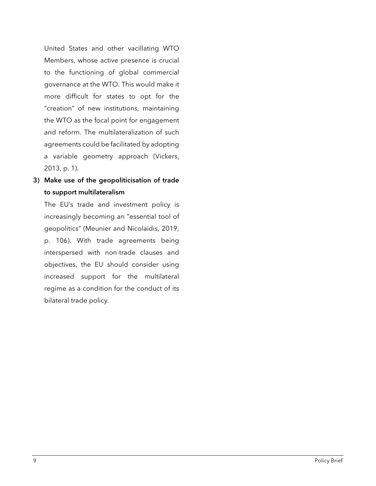United States and other vacillating WTO Members, whose active presence is crucial to the functioning of global commercial governance at the WTO. This would make it more difficult for states to opt for the "creation" of new institutions, maintaining the WTO as the focal point for engagement and reform. The multilateralization of such agreements could be facilitated by adopting a variable geometry approach (Vickers, 2013, p. 1).

3) Make use of the geopoliticisation of trade to support multilateralism

The EU's trade and investment policy is increasingly becoming an "essential tool of geopolitics" (Meunier and Nicolaidis, 2019, p. 106). With trade agreements being interspersed with non-trade clauses and objectives, the EU should consider using increased support for the multilateral regime as a condition for the conduct of its bilateral trade policy.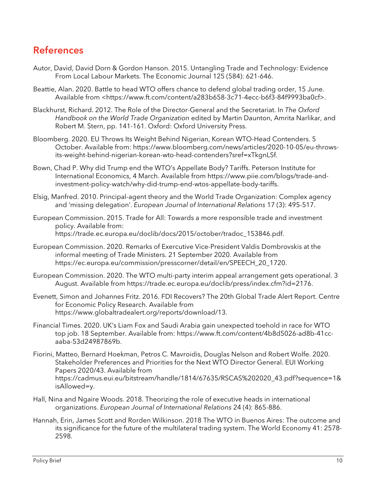### References

- Autor, David, David Dorn & Gordon Hanson. 2015. Untangling Trade and Technology: Evidence From Local Labour Markets. The Economic Journal 125 (584): 621-646.
- Beattie, Alan. 2020. Battle to head WTO offers chance to defend global trading order, 15 June. Available from <https://www.ft.com/content/a283b658-3c71-4ecc-b6f3-84f9993ba0cf>.
- Blackhurst, Richard. 2012. The Role of the Director-General and the Secretariat. In *The Oxford Handbook on the World Trade Organization* edited by Martin Daunton, Amrita Narlikar, and Robert M. Stern, pp. 141-161. Oxford: Oxford University Press.
- Bloomberg. 2020. EU Throws Its Weight Behind Nigerian, Korean WTO-Head Contenders. 5 October. Available from: https://www.bloomberg.com/news/articles/2020-10-05/eu-throwsits-weight-behind-nigerian-korean-wto-head-contenders?sref=xTkgnLSf.
- Bown, Chad P. Why did Trump end the WTO's Appellate Body? Tariffs. Peterson Institute for International Economics, 4 March. Available from https://www.piie.com/blogs/trade-andinvestment-policy-watch/why-did-trump-end-wtos-appellate-body-tariffs.
- Elsig, Manfred. 2010. Principal-agent theory and the World Trade Organization: Complex agency and 'missing delegation'. *European Journal of International Relations* 17 (3): 495-517.
- European Commission. 2015. Trade for All: Towards a more responsible trade and investment policy. Available from: https://trade.ec.europa.eu/doclib/docs/2015/october/tradoc\_153846.pdf.
- European Commission. 2020. Remarks of Exercutive Vice-President Valdis Dombrovskis at the informal meeting of Trade Ministers. 21 September 2020. Available from https://ec.europa.eu/commission/presscorner/detail/en/SPEECH\_20\_1720.
- European Commission. 2020. The WTO multi-party interim appeal arrangement gets operational. 3 August. Available from https://trade.ec.europa.eu/doclib/press/index.cfm?id=2176.
- Evenett, Simon and Johannes Fritz. 2016. FDI Recovers? The 20th Global Trade Alert Report. Centre for Economic Policy Research. Available from https://www.globaltradealert.org/reports/download/13.
- Financial Times. 2020. UK's Liam Fox and Saudi Arabia gain unexpected toehold in race for WTO top job. 18 September. Available from: https://www.ft.com/content/4b8d5026-ad8b-41ccaaba-53d24987869b.
- Fiorini, Matteo, Bernard Hoekman, Petros C. Mavroidis, Douglas Nelson and Robert Wolfe. 2020. Stakeholder Preferences and Priorities for the Next WTO Director General. EUI Working Papers 2020/43. Available from https://cadmus.eui.eu/bitstream/handle/1814/67635/RSCAS%202020\_43.pdf?sequence=1& isAllowed=y.
- Hall, Nina and Ngaire Woods. 2018. Theorizing the role of executive heads in international organizations. *European Journal of International Relations* 24 (4): 865-886.
- Hannah, Erin, James Scott and Rorden Wilkinson. 2018 The WTO in Buenos Aires: The outcome and its significance for the future of the multilateral trading system. The World Economy 41: 2578- 2598.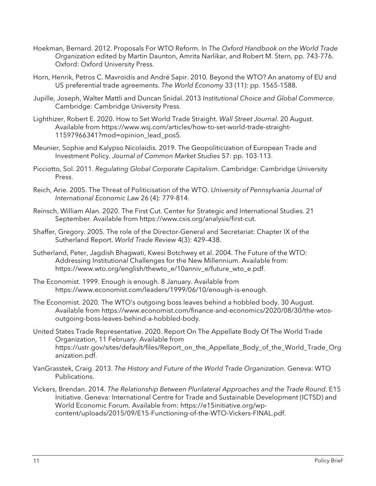- Hoekman, Bernard. 2012. Proposals For WTO Reform. In *The Oxford Handbook on the World Trade Organization* edited by Martin Daunton, Amrita Narlikar, and Robert M. Stern, pp. 743-776. Oxford: Oxford University Press.
- Horn, Henrik, Petros C. Mavroidis and André Sapir. 2010. Beyond the WTO? An anatomy of EU and US preferential trade agreements. *The World Economy* 33 (11): pp. 1565-1588.
- Jupille, Joseph, Walter Mattli and Duncan Snidal. 2013 *Institutional Choice and Global Commerce*. Cambridge: Cambridge University Press.
- Lighthizer, Robert E. 2020. How to Set World Trade Straight. *Wall Street Journal*. 20 August. Available from https://www.wsj.com/articles/how-to-set-world-trade-straight-11597966341?mod=opinion\_lead\_pos5.
- Meunier, Sophie and Kalypso Nicolaidis. 2019. The Geopoliticization of European Trade and Investment Policy. *Journal of Common Market Studies* 57: pp. 103-113.
- Picciotto, Sol. 2011. *Regulating Global Corporate Capitalism*. Cambridge: Cambridge University Press.
- Reich, Arie. 2005. The Threat of Politicisation of the WTO. *University of Pennsylvania Journal of International Economic Law* 26 (4): 779-814.
- Reinsch, William Alan. 2020. The First Cut. Center for Strategic and International Studies. 21 September. Available from https://www.csis.org/analysis/first-cut.
- Shaffer, Gregory. 2005. The role of the Director-General and Secretariat: Chapter IX of the Sutherland Report. *World Trade Review* 4(3): 429–438.
- Sutherland, Peter, Jagdish Bhagwati, Kwesi Botchwey et al. 2004. The Future of the WTO: Addressing Institutional Challenges for the New Millennium. Available from: https://www.wto.org/english/thewto\_e/10anniv\_e/future\_wto\_e.pdf.
- The Economist. 1999. Enough is enough. 8 January. Available from https://www.economist.com/leaders/1999/06/10/enough-is-enough.
- The Economist. 2020. The WTO's outgoing boss leaves behind a hobbled body. 30 August. Available from https://www.economist.com/finance-and-economics/2020/08/30/the-wtosoutgoing-boss-leaves-behind-a-hobbled-body.
- United States Trade Representative. 2020. Report On The Appellate Body Of The World Trade Organization, 11 February. Available from https://ustr.gov/sites/default/files/Report\_on\_the\_Appellate\_Body\_of\_the\_World\_Trade\_Org anization.pdf.
- VanGrasstek, Craig. 2013. *The History and Future of the World Trade Organization*. Geneva: WTO Publications.
- Vickers, Brendan. 2014. *The Relationship Between Plurilateral Approaches and the Trade Round*. E15 Initiative. Geneva: International Centre for Trade and Sustainable Development (ICTSD) and World Economic Forum. Available from: https://e15initiative.org/wpcontent/uploads/2015/09/E15-Functioning-of-the-WTO-Vickers-FINAL.pdf.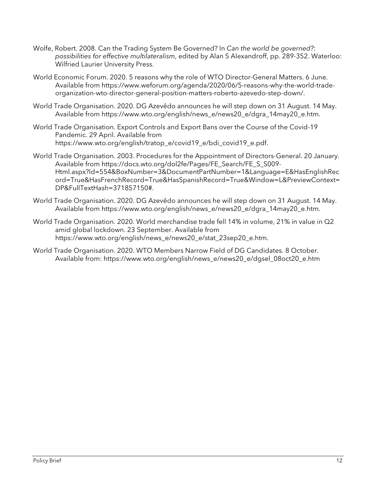- Wolfe, Robert. 2008. Can the Trading System Be Governed? In *Can the world be governed?: possibilities for effective multilateralism*, edited by Alan S Alexandroff, pp. 289-352. Waterloo: Wilfried Laurier University Press.
- World Economic Forum. 2020. 5 reasons why the role of WTO Director-General Matters. 6 June. Available from https://www.weforum.org/agenda/2020/06/5-reasons-why-the-world-tradeorganization-wto-director-general-position-matters-roberto-azevedo-step-down/.
- World Trade Organisation. 2020. DG Azevêdo announces he will step down on 31 August. 14 May. Available from https://www.wto.org/english/news\_e/news20\_e/dgra\_14may20\_e.htm.
- World Trade Organisation. Export Controls and Export Bans over the Course of the Covid-19 Pandemic. 29 April. Available from https://www.wto.org/english/tratop\_e/covid19\_e/bdi\_covid19\_e.pdf.
- World Trade Organisation. 2003. Procedures for the Appointment of Directors-General. 20 January. Available from https://docs.wto.org/dol2fe/Pages/FE\_Search/FE\_S\_S009- Html.aspx?Id=554&BoxNumber=3&DocumentPartNumber=1&Language=E&HasEnglishRec ord=True&HasFrenchRecord=True&HasSpanishRecord=True&Window=L&PreviewContext= DP&FullTextHash=371857150#.
- World Trade Organisation. 2020. DG Azevêdo announces he will step down on 31 August. 14 May. Available from https://www.wto.org/english/news\_e/news20\_e/dgra\_14may20\_e.htm.
- World Trade Organisation. 2020. World merchandise trade fell 14% in volume, 21% in value in Q2 amid global lockdown. 23 September. Available from https://www.wto.org/english/news\_e/news20\_e/stat\_23sep20\_e.htm.
- World Trade Organisation. 2020. WTO Members Narrow Field of DG Candidates. 8 October. Available from: https://www.wto.org/english/news\_e/news20\_e/dgsel\_08oct20\_e.htm